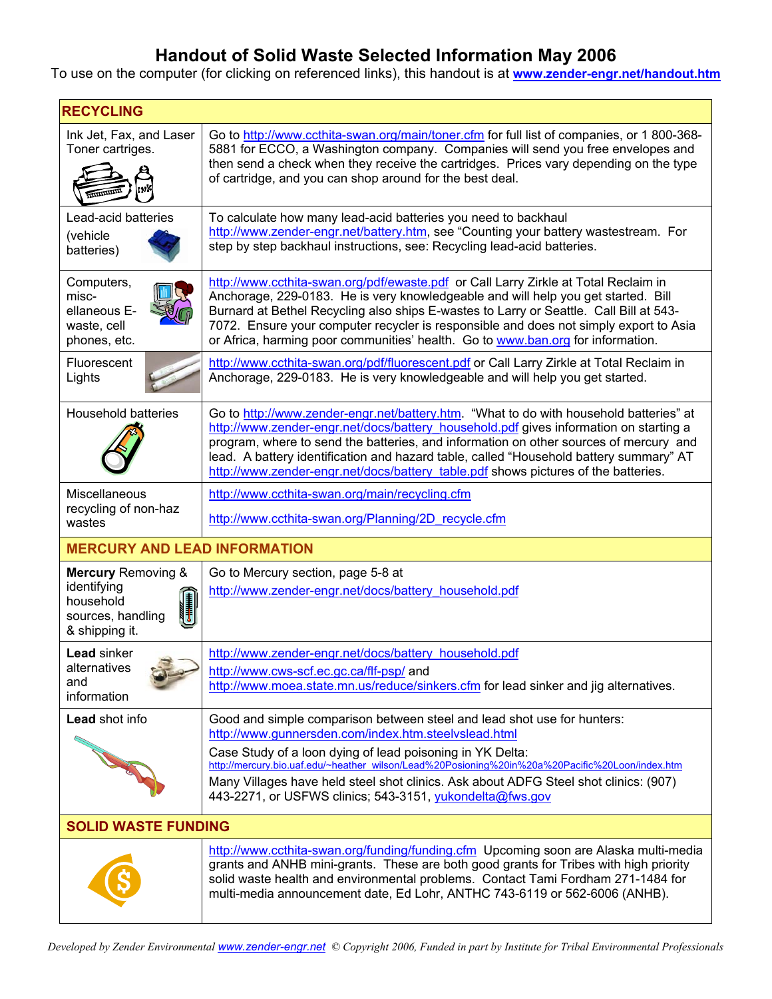## **Handout of Solid Waste Selected Information May 2006**

To use on the computer (for clicking on referenced links), this handout is at **www.zender-engr.net/handout.htm**

| <b>RECYCLING</b>                                                                                                                                                                                                                                      |                                                                                                                                                                                                                                                                                                                                                                                                                                                          |  |
|-------------------------------------------------------------------------------------------------------------------------------------------------------------------------------------------------------------------------------------------------------|----------------------------------------------------------------------------------------------------------------------------------------------------------------------------------------------------------------------------------------------------------------------------------------------------------------------------------------------------------------------------------------------------------------------------------------------------------|--|
| Ink Jet, Fax, and Laser<br>Toner cartriges.                                                                                                                                                                                                           | Go to http://www.ccthita-swan.org/main/toner.cfm for full list of companies, or 1800-368-<br>5881 for ECCO, a Washington company. Companies will send you free envelopes and<br>then send a check when they receive the cartridges. Prices vary depending on the type<br>of cartridge, and you can shop around for the best deal.                                                                                                                        |  |
| Lead-acid batteries<br>(vehicle<br>batteries)                                                                                                                                                                                                         | To calculate how many lead-acid batteries you need to backhaul<br>http://www.zender-engr.net/battery.htm, see "Counting your battery wastestream. For<br>step by step backhaul instructions, see: Recycling lead-acid batteries.                                                                                                                                                                                                                         |  |
| Computers,<br>misc-<br>ellaneous E-<br>waste, cell<br>phones, etc.                                                                                                                                                                                    | http://www.ccthita-swan.org/pdf/ewaste.pdf or Call Larry Zirkle at Total Reclaim in<br>Anchorage, 229-0183. He is very knowledgeable and will help you get started. Bill<br>Burnard at Bethel Recycling also ships E-wastes to Larry or Seattle. Call Bill at 543-<br>7072. Ensure your computer recycler is responsible and does not simply export to Asia<br>or Africa, harming poor communities' health. Go to www.ban.org for information.           |  |
| Fluorescent<br>Lights                                                                                                                                                                                                                                 | http://www.ccthita-swan.org/pdf/fluorescent.pdf or Call Larry Zirkle at Total Reclaim in<br>Anchorage, 229-0183. He is very knowledgeable and will help you get started.                                                                                                                                                                                                                                                                                 |  |
| <b>Household batteries</b>                                                                                                                                                                                                                            | Go to http://www.zender-engr.net/battery.htm. "What to do with household batteries" at<br>http://www.zender-engr.net/docs/battery_household.pdf gives information on starting a<br>program, where to send the batteries, and information on other sources of mercury and<br>lead. A battery identification and hazard table, called "Household battery summary" AT<br>http://www.zender-engr.net/docs/battery table.pdf shows pictures of the batteries. |  |
| Miscellaneous<br>recycling of non-haz<br>wastes                                                                                                                                                                                                       | http://www.ccthita-swan.org/main/recycling.cfm                                                                                                                                                                                                                                                                                                                                                                                                           |  |
|                                                                                                                                                                                                                                                       | http://www.ccthita-swan.org/Planning/2D recycle.cfm                                                                                                                                                                                                                                                                                                                                                                                                      |  |
| <b>MERCURY AND LEAD INFORMATION</b>                                                                                                                                                                                                                   |                                                                                                                                                                                                                                                                                                                                                                                                                                                          |  |
| <b>Mercury Removing &amp;</b><br>identifying<br>$\begin{tabular}{ c c } \hline \quad \quad & \quad \quad & \quad \quad \\ \hline \quad \quad & \quad \quad & \quad \quad \\ \hline \end{tabular}$<br>household<br>sources, handling<br>& shipping it. | Go to Mercury section, page 5-8 at<br>http://www.zender-engr.net/docs/battery_household.pdf                                                                                                                                                                                                                                                                                                                                                              |  |
| <b>Lead sinker</b><br>alternatives<br>and<br>information                                                                                                                                                                                              | http://www.zender-engr.net/docs/battery household.pdf                                                                                                                                                                                                                                                                                                                                                                                                    |  |
|                                                                                                                                                                                                                                                       | http://www.cws-scf.ec.gc.ca/flf-psp/ and<br>http://www.moea.state.mn.us/reduce/sinkers.cfm for lead sinker and jig alternatives.                                                                                                                                                                                                                                                                                                                         |  |
| <b>Lead shot info</b>                                                                                                                                                                                                                                 | Good and simple comparison between steel and lead shot use for hunters:<br>http://www.gunnersden.com/index.htm.steelvslead.html                                                                                                                                                                                                                                                                                                                          |  |
|                                                                                                                                                                                                                                                       | Case Study of a loon dying of lead poisoning in YK Delta:<br>http://mercury.bio.uaf.edu/~heather_wilson/Lead%20Posioning%20in%20a%20Pacific%20Loon/index.htm                                                                                                                                                                                                                                                                                             |  |
|                                                                                                                                                                                                                                                       | Many Villages have held steel shot clinics. Ask about ADFG Steel shot clinics: (907)<br>443-2271, or USFWS clinics; 543-3151, yukondelta@fws.gov                                                                                                                                                                                                                                                                                                         |  |
| <b>SOLID WASTE FUNDING</b>                                                                                                                                                                                                                            |                                                                                                                                                                                                                                                                                                                                                                                                                                                          |  |
|                                                                                                                                                                                                                                                       | http://www.ccthita-swan.org/funding/funding.cfm Upcoming soon are Alaska multi-media<br>grants and ANHB mini-grants. These are both good grants for Tribes with high priority<br>solid waste health and environmental problems. Contact Tami Fordham 271-1484 for<br>multi-media announcement date, Ed Lohr, ANTHC 743-6119 or 562-6006 (ANHB).                                                                                                          |  |